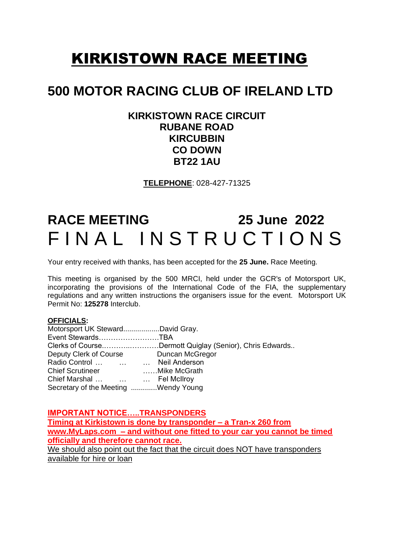## KIRKISTOWN RACE MEETING

## **500 MOTOR RACING CLUB OF IRELAND LTD**

### **KIRKISTOWN RACE CIRCUIT RUBANE ROAD KIRCUBBIN CO DOWN BT22 1AU**

**TELEPHONE**: 028-427-71325

# **RACE MEETING 25 June 2022**  FINAL INSTRUCTIONS

Your entry received with thanks, has been accepted for the **25 June.** Race Meeting.

This meeting is organised by the 500 MRCI, held under the GCR's of Motorsport UK, incorporating the provisions of the International Code of the FIA, the supplementary regulations and any written instructions the organisers issue for the event. Motorsport UK Permit No: **125278** Interclub.

#### **OFFICIALS:**

| Motorsport UK StewardDavid Gray.     |                                                         |
|--------------------------------------|---------------------------------------------------------|
| Event StewardsTBA                    |                                                         |
|                                      | Clerks of CourseDermott Quiglay (Senior), Chris Edwards |
| Deputy Clerk of Course               | Duncan McGregor                                         |
| Radio Control    Neil Anderson       |                                                         |
| <b>Chief Scrutineer</b>              | Mike McGrath                                            |
| Chief Marshal    Fel McIlroy         |                                                         |
| Secretary of the Meeting Wendy Young |                                                         |

**IMPORTANT NOTICE…..TRANSPONDERS**

**Timing at Kirkistown is done by transponder – a Tran-x 260 from www.MyLaps.com – and without one fitted to your car you cannot be timed officially and therefore cannot race.**  We should also point out the fact that the circuit does NOT have transponders available for hire or loan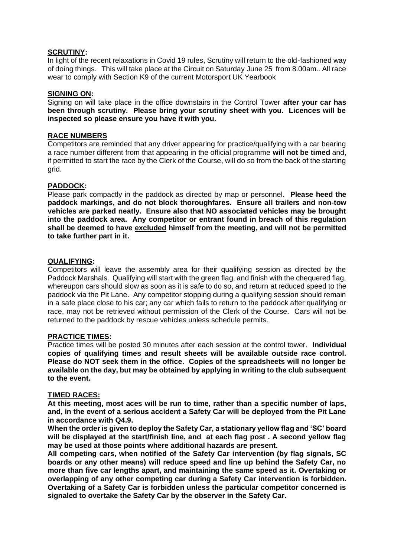#### **SCRUTINY:**

In light of the recent relaxations in Covid 19 rules, Scrutiny will return to the old-fashioned way of doing things. This will take place at the Circuit on Saturday June 25 from 8.00am.. All race wear to comply with Section K9 of the current Motorsport UK Yearbook

#### **SIGNING ON:**

Signing on will take place in the office downstairs in the Control Tower **after your car has been through scrutiny. Please bring your scrutiny sheet with you. Licences will be inspected so please ensure you have it with you.**

#### **RACE NUMBERS**

Competitors are reminded that any driver appearing for practice/qualifying with a car bearing a race number different from that appearing in the official programme **will not be timed** and, if permitted to start the race by the Clerk of the Course, will do so from the back of the starting grid.

#### **PADDOCK:**

Please park compactly in the paddock as directed by map or personnel. **Please heed the paddock markings, and do not block thoroughfares. Ensure all trailers and non-tow vehicles are parked neatly. Ensure also that NO associated vehicles may be brought into the paddock area. Any competitor or entrant found in breach of this regulation shall be deemed to have excluded himself from the meeting, and will not be permitted to take further part in it.**

#### **QUALIFYING:**

Competitors will leave the assembly area for their qualifying session as directed by the Paddock Marshals. Qualifying will start with the green flag, and finish with the chequered flag, whereupon cars should slow as soon as it is safe to do so, and return at reduced speed to the paddock via the Pit Lane. Any competitor stopping during a qualifying session should remain in a safe place close to his car; any car which fails to return to the paddock after qualifying or race, may not be retrieved without permission of the Clerk of the Course. Cars will not be returned to the paddock by rescue vehicles unless schedule permits.

#### **PRACTICE TIMES:**

Practice times will be posted 30 minutes after each session at the control tower. **Individual copies of qualifying times and result sheets will be available outside race control. Please do NOT seek them in the office. Copies of the spreadsheets will no longer be available on the day, but may be obtained by applying in writing to the club subsequent to the event.**

#### **TIMED RACES:**

**At this meeting, most aces will be run to time, rather than a specific number of laps, and, in the event of a serious accident a Safety Car will be deployed from the Pit Lane in accordance with Q4.9.**

**When the order is given to deploy the Safety Car, a stationary yellow flag and 'SC' board will be displayed at the start/finish line, and at each flag post . A second yellow flag may be used at those points where additional hazards are present.**

**All competing cars, when notified of the Safety Car intervention (by flag signals, SC boards or any other means) will reduce speed and line up behind the Safety Car, no more than five car lengths apart, and maintaining the same speed as it. Overtaking or overlapping of any other competing car during a Safety Car intervention is forbidden. Overtaking of a Safety Car is forbidden unless the particular competitor concerned is signaled to overtake the Safety Car by the observer in the Safety Car.**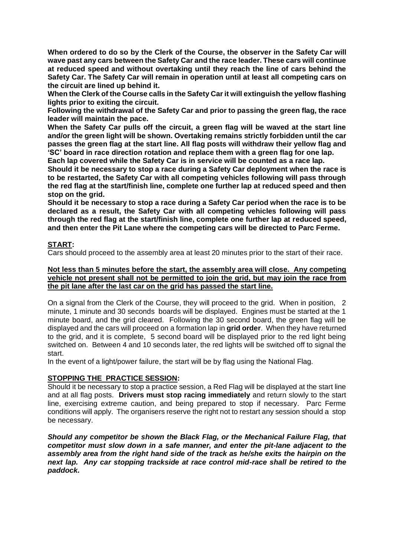**When ordered to do so by the Clerk of the Course, the observer in the Safety Car will wave past any cars between the Safety Car and the race leader. These cars will continue at reduced speed and without overtaking until they reach the line of cars behind the Safety Car. The Safety Car will remain in operation until at least all competing cars on the circuit are lined up behind it.**

**When the Clerk of the Course calls in the Safety Car it will extinguish the yellow flashing lights prior to exiting the circuit.**

**Following the withdrawal of the Safety Car and prior to passing the green flag, the race leader will maintain the pace.**

**When the Safety Car pulls off the circuit, a green flag will be waved at the start line and/or the green light will be shown. Overtaking remains strictly forbidden until the car passes the green flag at the start line. All flag posts will withdraw their yellow flag and 'SC' board in race direction rotation and replace them with a green flag for one lap.**

**Each lap covered while the Safety Car is in service will be counted as a race lap. Should it be necessary to stop a race during a Safety Car deployment when the race is** 

**to be restarted, the Safety Car with all competing vehicles following will pass through the red flag at the start/finish line, complete one further lap at reduced speed and then stop on the grid.**

**Should it be necessary to stop a race during a Safety Car period when the race is to be declared as a result, the Safety Car with all competing vehicles following will pass through the red flag at the start/finish line, complete one further lap at reduced speed, and then enter the Pit Lane where the competing cars will be directed to Parc Ferme.**

#### **START:**

Cars should proceed to the assembly area at least 20 minutes prior to the start of their race.

#### **Not less than 5 minutes before the start, the assembly area will close. Any competing vehicle not present shall not be permitted to join the grid, but may join the race from the pit lane after the last car on the grid has passed the start line.**

On a signal from the Clerk of the Course, they will proceed to the grid. When in position, 2 minute, 1 minute and 30 seconds boards will be displayed. Engines must be started at the 1 minute board, and the grid cleared. Following the 30 second board, the green flag will be displayed and the cars will proceed on a formation lap in **grid order**. When they have returned to the grid, and it is complete, 5 second board will be displayed prior to the red light being switched on. Between 4 and 10 seconds later, the red lights will be switched off to signal the start.

In the event of a light/power failure, the start will be by flag using the National Flag.

#### **STOPPING THE PRACTICE SESSION:**

Should it be necessary to stop a practice session, a Red Flag will be displayed at the start line and at all flag posts. **Drivers must stop racing immediately** and return slowly to the start line, exercising extreme caution, and being prepared to stop if necessary. Parc Ferme conditions will apply. The organisers reserve the right not to restart any session should a stop be necessary.

*Should any competitor be shown the Black Flag, or the Mechanical Failure Flag, that competitor must slow down in a safe manner, and enter the pit-lane adjacent to the assembly area from the right hand side of the track as he/she exits the hairpin on the next lap. Any car stopping trackside at race control mid-race shall be retired to the paddock.*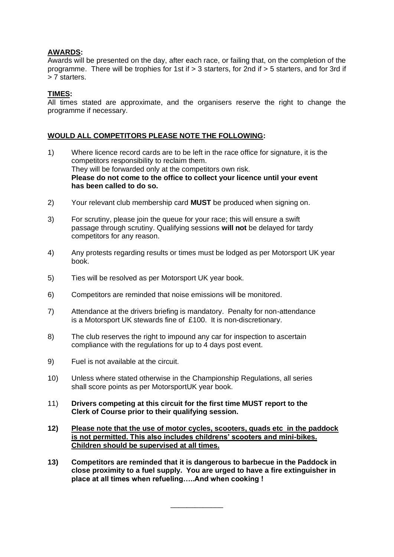#### **AWARDS:**

Awards will be presented on the day, after each race, or failing that, on the completion of the programme. There will be trophies for 1st if > 3 starters, for 2nd if > 5 starters, and for 3rd if > 7 starters.

#### **TIMES:**

All times stated are approximate, and the organisers reserve the right to change the programme if necessary.

#### **WOULD ALL COMPETITORS PLEASE NOTE THE FOLLOWING:**

- 1) Where licence record cards are to be left in the race office for signature, it is the competitors responsibility to reclaim them. They will be forwarded only at the competitors own risk. **Please do not come to the office to collect your licence until your event has been called to do so.**
- 2) Your relevant club membership card **MUST** be produced when signing on.
- 3) For scrutiny, please join the queue for your race; this will ensure a swift passage through scrutiny. Qualifying sessions **will not** be delayed for tardy competitors for any reason.
- 4) Any protests regarding results or times must be lodged as per Motorsport UK year book.
- 5) Ties will be resolved as per Motorsport UK year book.
- 6) Competitors are reminded that noise emissions will be monitored.
- 7) Attendance at the drivers briefing is mandatory. Penalty for non-attendance is a Motorsport UK stewards fine of £100. It is non-discretionary.
- 8) The club reserves the right to impound any car for inspection to ascertain compliance with the regulations for up to 4 days post event.
- 9) Fuel is not available at the circuit.
- 10) Unless where stated otherwise in the Championship Regulations, all series shall score points as per MotorsportUK year book.
- 11) **Drivers competing at this circuit for the first time MUST report to the Clerk of Course prior to their qualifying session.**
- **12) Please note that the use of motor cycles, scooters, quads etc in the paddock is not permitted. This also includes childrens' scooters and mini-bikes. Children should be supervised at all times.**
- **13) Competitors are reminded that it is dangerous to barbecue in the Paddock in close proximity to a fuel supply. You are urged to have a fire extinguisher in place at all times when refueling…..And when cooking !**

\_\_\_\_\_\_\_\_\_\_\_\_\_